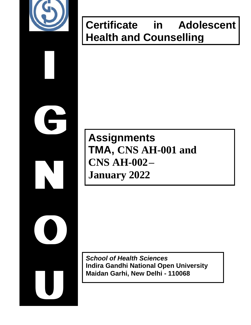

**I**

**G**

**N**

**O**

**U**

# **Certificate in Adolescent Health and Counselling**

# **Assignments TMA, CNS AH-001 and CNS AH-002– January 2022**

*School of Health Sciences*  **Indira Gandhi National Open University Maidan Garhi, New Delhi - 110068**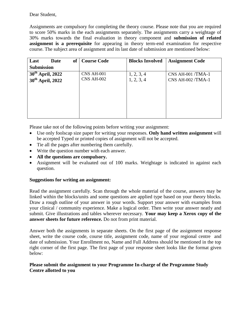### Dear Student,

Assignments are compulsory for completing the theory course. Please note that you are required to score 50% marks in the each assignments separately. The assignments carry a weightage of 30% marks towards the final evaluation in theory component and **submission of related assignment is a prerequisite** for appearing in theory term-end examination for respective course. The subject area of assignment and its last date of submission are mentioned below:

| of<br>Last<br>Date           | <b>Course Code</b> | <b>Blocks Involved</b> | <b>Assignment Code</b>  |
|------------------------------|--------------------|------------------------|-------------------------|
| <b>Submission</b>            |                    |                        |                         |
| 30 <sup>th</sup> April, 2022 | <b>CNS AH-001</b>  | 1, 2, 3, 4             | $CNS AH-001/TMA-1$      |
| 30 <sup>th</sup> April, 2022 | <b>CNS AH-002</b>  | 1, 2, 3, 4             | <b>CNS AH-002/TMA-1</b> |
|                              |                    |                        |                         |
|                              |                    |                        |                         |
|                              |                    |                        |                         |
|                              |                    |                        |                         |
|                              |                    |                        |                         |

Please take not of the following points before writing your assignment:

- Use only foolscap size paper for writing your responses. **Only hand written assignment** will be accepted Typed or printed copies of assignment will not be accepted.
- Tie all the pages after numbering them carefully.
- Write the question number with each answer.
- **All the questions are compulsory.**
- Assignment will be evaluated out of 100 marks. Weightage is indicated in against each question.

## **Suggestions for writing an assignment:**

Read the assignment carefully. Scan through the whole material of the course, answers may be linked within the blocks/units and some questions are applied type based on your theory blocks. Draw a rough outline of your answer in your words. Support your answer with examples from your clinical / community experience. Make a logical order. Then write your answer neatly and submit. Give illustrations and tables wherever necessary. **Your may keep a Xerox copy of the answer sheets for future reference.** Do not from print material.

Answer both the assignments in separate sheets. On the first page of the assignment response sheet, write the course code, course title, assignment code, name of your regional centre and date of submission. Your Enrollment no, Name and Full Address should be mentioned in the top right corner of the first page. The first page of your response sheet looks like the format given below:

### **Please submit the assignment to your Programme In-charge of the Programme Study Centre allotted to you**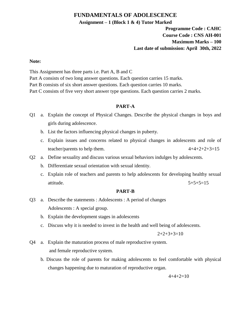## **FUNDAMENTALS OF ADOLESCENCE**

#### **Assignment – 1 (Block 1 & 4) Tutor Marked**

# **Programme Code : CAHC Course Code : CNS AH-001 Maximum Marks – 100 Last date of submission: April 30th, 2022**

#### **Note:**

This Assignment has three parts i.e. Part A, B and C

Part A consists of two long answer questions. Each question carries 15 marks.

Part B consists of six short answer questions. Each question carries 10 marks.

Part C consists of five very short answer type questions. Each question carries 2 marks.

## **PART-A**

- Q1 a. Explain the concept of Physical Changes. Describe the physical changes in boys and girls during adolescence.
	- b. List the factors influencing physical changes in puberty.
	- c. Explain issues and concerns related to physical changes in adolescents and role of teacher/parents to help them.  $4+4+2+2+3=15$
- Q2 a. Define sexuality and discuss various sexual behaviors indulges by adolescents.
	- b. Differentiate sexual orientation with sexual identity.
	- c. Explain role of teachers and parents to help adolescents for developing healthy sexual attitude. 5+5+5=15

#### **PART-B**

- Q3 a. Describe the statements : Adolescents : A period of changes Adolescents : A special group.
	- b. Explain the development stages in adolescents
	- c. Discuss why it is needed to invest in the health and well being of adolescents.

$$
2+2+3+3=10
$$

- Q4 a. Explain the maturation process of male reproductive system. and female reproductive system.
	- b. Discuss the role of parents for making adolescents to feel comfortable with physical changes happening due to maturation of reproductive organ.

$$
4+4+2=10
$$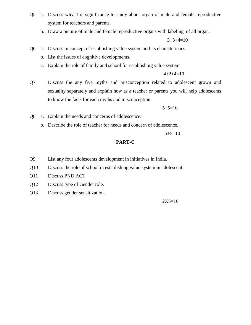- Q5 a. Discuss why it is significance to study about organ of male and female reproductive system for teachers and parents.
	- b. Draw a picture of male and female reproductive organs with labeling of all organ.

 $3+3+4=10$ 

- Q6 a. Discuss in concept of establishing value system and its characteristics.
	- b. List the issues of cognitive developments.
	- c. Explain the role of family and school for establishing value system.

 $4+2+4=10$ 

Q7 Discuss the any five myths and misconception related to adolescent grown and sexuality separately and explain how as a teacher or parents you will help adolescents to know the facts for each myths and misconception.

 $5+5=10$ 

- Q8 a. Explain the needs and concerns of adolescence.
	- b. Describe the role of teacher for needs and concern of adolescence.

 $5+5=10$ 

### **PART-C**

- Q9. List any four adolescents development in initiatives in India.
- Q10 Discuss the role of school in establishing value system in adolescent.
- Q11 Discuss PND ACT
- Q12 Discuss type of Gender role.
- Q13 Discuss gender sensitization.

 $2X5=10$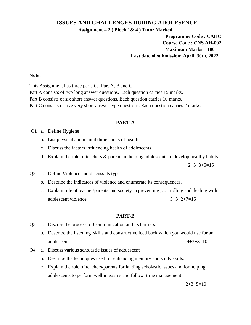### **ISSUES AND CHALLENGES DURING ADOLESENCE**

**Assignment – 2 ( Block 1& 4 ) Tutor Marked**

## **Programme Code : CAHC Course Code : CNS AH-002 Maximum Marks – 100 Last date of submission: April 30th, 2022**

#### **Note:**

This Assignment has three parts i.e. Part A, B and C.

- Part A consists of two long answer questions. Each question carries 15 marks.
- Part B consists of six short answer questions. Each question carries 10 marks.
- Part C consists of five very short answer type questions. Each question carries 2 marks.

#### **PART-A**

- Q1 a. Define Hygiene
	- b. List physical and mental dimensions of health
	- c. Discuss the factors influencing health of adolescents
	- d. Explain the role of teachers & parents in helping adolescents to develop healthy habits.

 $2+5+3+5=15$ 

- Q2 a. Define Violence and discuss its types.
	- b. Describe the indicators of violence and enumerate its consequences.
	- c. Explain role of teacher/parents and society in preventing ,controlling and dealing with adolescent violence.  $3+3+2+7=15$

#### **PART-B**

- Q3 a. Discuss the process of Communication and its barriers.
	- b. Describe the listening skills and constructive feed back which you would use for an adolescent.  $4+3+3=10$
- Q4 a. Discuss various scholastic issues of adolescent
	- b. Describe the techniques used for enhancing memory and study skills.
	- c. Explain the role of teachers/parents for landing scholastic issues and for helping adolescents to perform well in exams and follow time management.

 $2+3+5=10$